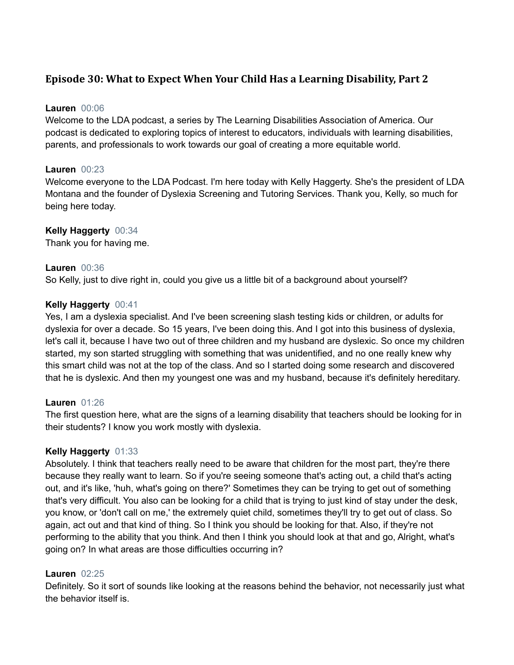# **Episode 30: What to Expect When Your Child Has a Learning Disability, Part 2**

### **Lauren** 00:06

Welcome to the LDA podcast, a series by The Learning Disabilities Association of America. Our podcast is dedicated to exploring topics of interest to educators, individuals with learning disabilities, parents, and professionals to work towards our goal of creating a more equitable world.

### **Lauren** 00:23

Welcome everyone to the LDA Podcast. I'm here today with Kelly Haggerty. She's the president of LDA Montana and the founder of Dyslexia Screening and Tutoring Services. Thank you, Kelly, so much for being here today.

### **Kelly Haggerty** 00:34

Thank you for having me.

### **Lauren** 00:36

So Kelly, just to dive right in, could you give us a little bit of a background about yourself?

### **Kelly Haggerty** 00:41

Yes, I am a dyslexia specialist. And I've been screening slash testing kids or children, or adults for dyslexia for over a decade. So 15 years, I've been doing this. And I got into this business of dyslexia, let's call it, because I have two out of three children and my husband are dyslexic. So once my children started, my son started struggling with something that was unidentified, and no one really knew why this smart child was not at the top of the class. And so I started doing some research and discovered that he is dyslexic. And then my youngest one was and my husband, because it's definitely hereditary.

### **Lauren** 01:26

The first question here, what are the signs of a learning disability that teachers should be looking for in their students? I know you work mostly with dyslexia.

### **Kelly Haggerty** 01:33

Absolutely. I think that teachers really need to be aware that children for the most part, they're there because they really want to learn. So if you're seeing someone that's acting out, a child that's acting out, and it's like, 'huh, what's going on there?' Sometimes they can be trying to get out of something that's very difficult. You also can be looking for a child that is trying to just kind of stay under the desk, you know, or 'don't call on me,' the extremely quiet child, sometimes they'll try to get out of class. So again, act out and that kind of thing. So I think you should be looking for that. Also, if they're not performing to the ability that you think. And then I think you should look at that and go, Alright, what's going on? In what areas are those difficulties occurring in?

### **Lauren** 02:25

Definitely. So it sort of sounds like looking at the reasons behind the behavior, not necessarily just what the behavior itself is.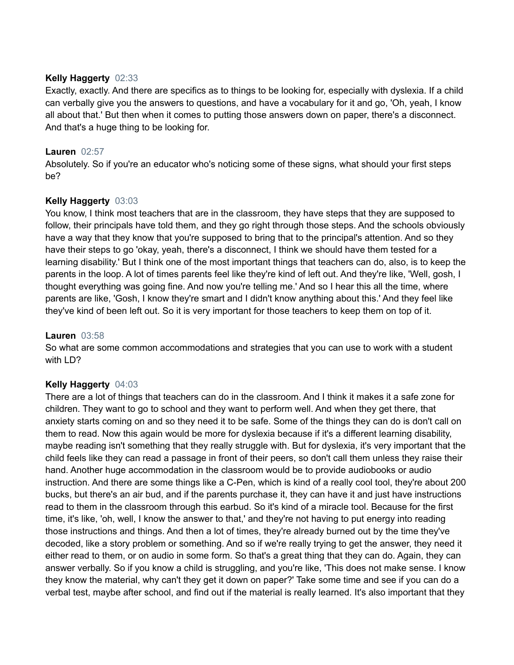#### **Kelly Haggerty** 02:33

Exactly, exactly. And there are specifics as to things to be looking for, especially with dyslexia. If a child can verbally give you the answers to questions, and have a vocabulary for it and go, 'Oh, yeah, I know all about that.' But then when it comes to putting those answers down on paper, there's a disconnect. And that's a huge thing to be looking for.

### **Lauren** 02:57

Absolutely. So if you're an educator who's noticing some of these signs, what should your first steps be?

### **Kelly Haggerty** 03:03

You know, I think most teachers that are in the classroom, they have steps that they are supposed to follow, their principals have told them, and they go right through those steps. And the schools obviously have a way that they know that you're supposed to bring that to the principal's attention. And so they have their steps to go 'okay, yeah, there's a disconnect, I think we should have them tested for a learning disability.' But I think one of the most important things that teachers can do, also, is to keep the parents in the loop. A lot of times parents feel like they're kind of left out. And they're like, 'Well, gosh, I thought everything was going fine. And now you're telling me.' And so I hear this all the time, where parents are like, 'Gosh, I know they're smart and I didn't know anything about this.' And they feel like they've kind of been left out. So it is very important for those teachers to keep them on top of it.

### **Lauren** 03:58

So what are some common accommodations and strategies that you can use to work with a student with LD?

### **Kelly Haggerty** 04:03

There are a lot of things that teachers can do in the classroom. And I think it makes it a safe zone for children. They want to go to school and they want to perform well. And when they get there, that anxiety starts coming on and so they need it to be safe. Some of the things they can do is don't call on them to read. Now this again would be more for dyslexia because if it's a different learning disability, maybe reading isn't something that they really struggle with. But for dyslexia, it's very important that the child feels like they can read a passage in front of their peers, so don't call them unless they raise their hand. Another huge accommodation in the classroom would be to provide audiobooks or audio instruction. And there are some things like a C-Pen, which is kind of a really cool tool, they're about 200 bucks, but there's an air bud, and if the parents purchase it, they can have it and just have instructions read to them in the classroom through this earbud. So it's kind of a miracle tool. Because for the first time, it's like, 'oh, well, I know the answer to that,' and they're not having to put energy into reading those instructions and things. And then a lot of times, they're already burned out by the time they've decoded, like a story problem or something. And so if we're really trying to get the answer, they need it either read to them, or on audio in some form. So that's a great thing that they can do. Again, they can answer verbally. So if you know a child is struggling, and you're like, 'This does not make sense. I know they know the material, why can't they get it down on paper?' Take some time and see if you can do a verbal test, maybe after school, and find out if the material is really learned. It's also important that they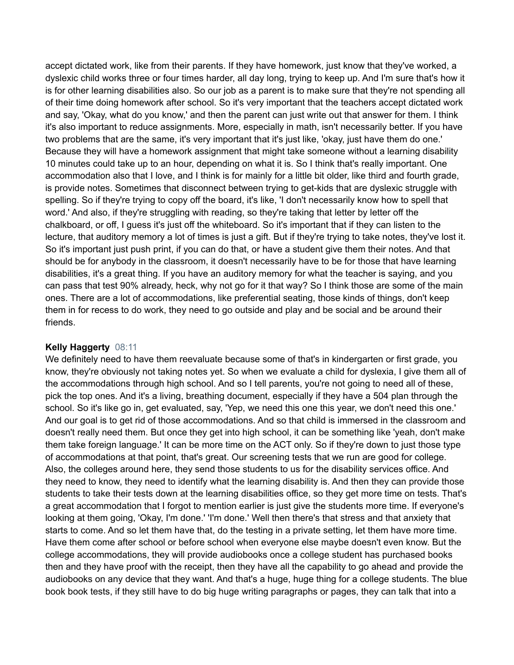accept dictated work, like from their parents. If they have homework, just know that they've worked, a dyslexic child works three or four times harder, all day long, trying to keep up. And I'm sure that's how it is for other learning disabilities also. So our job as a parent is to make sure that they're not spending all of their time doing homework after school. So it's very important that the teachers accept dictated work and say, 'Okay, what do you know,' and then the parent can just write out that answer for them. I think it's also important to reduce assignments. More, especially in math, isn't necessarily better. If you have two problems that are the same, it's very important that it's just like, 'okay, just have them do one.' Because they will have a homework assignment that might take someone without a learning disability 10 minutes could take up to an hour, depending on what it is. So I think that's really important. One accommodation also that I love, and I think is for mainly for a little bit older, like third and fourth grade, is provide notes. Sometimes that disconnect between trying to get-kids that are dyslexic struggle with spelling. So if they're trying to copy off the board, it's like, 'I don't necessarily know how to spell that word.' And also, if they're struggling with reading, so they're taking that letter by letter off the chalkboard, or off, I guess it's just off the whiteboard. So it's important that if they can listen to the lecture, that auditory memory a lot of times is just a gift. But if they're trying to take notes, they've lost it. So it's important just push print, if you can do that, or have a student give them their notes. And that should be for anybody in the classroom, it doesn't necessarily have to be for those that have learning disabilities, it's a great thing. If you have an auditory memory for what the teacher is saying, and you can pass that test 90% already, heck, why not go for it that way? So I think those are some of the main ones. There are a lot of accommodations, like preferential seating, those kinds of things, don't keep them in for recess to do work, they need to go outside and play and be social and be around their friends.

#### **Kelly Haggerty** 08:11

We definitely need to have them reevaluate because some of that's in kindergarten or first grade, you know, they're obviously not taking notes yet. So when we evaluate a child for dyslexia, I give them all of the accommodations through high school. And so I tell parents, you're not going to need all of these, pick the top ones. And it's a living, breathing document, especially if they have a 504 plan through the school. So it's like go in, get evaluated, say, 'Yep, we need this one this year, we don't need this one.' And our goal is to get rid of those accommodations. And so that child is immersed in the classroom and doesn't really need them. But once they get into high school, it can be something like 'yeah, don't make them take foreign language.' It can be more time on the ACT only. So if they're down to just those type of accommodations at that point, that's great. Our screening tests that we run are good for college. Also, the colleges around here, they send those students to us for the disability services office. And they need to know, they need to identify what the learning disability is. And then they can provide those students to take their tests down at the learning disabilities office, so they get more time on tests. That's a great accommodation that I forgot to mention earlier is just give the students more time. If everyone's looking at them going, 'Okay, I'm done.' 'I'm done.' Well then there's that stress and that anxiety that starts to come. And so let them have that, do the testing in a private setting, let them have more time. Have them come after school or before school when everyone else maybe doesn't even know. But the college accommodations, they will provide audiobooks once a college student has purchased books then and they have proof with the receipt, then they have all the capability to go ahead and provide the audiobooks on any device that they want. And that's a huge, huge thing for a college students. The blue book book tests, if they still have to do big huge writing paragraphs or pages, they can talk that into a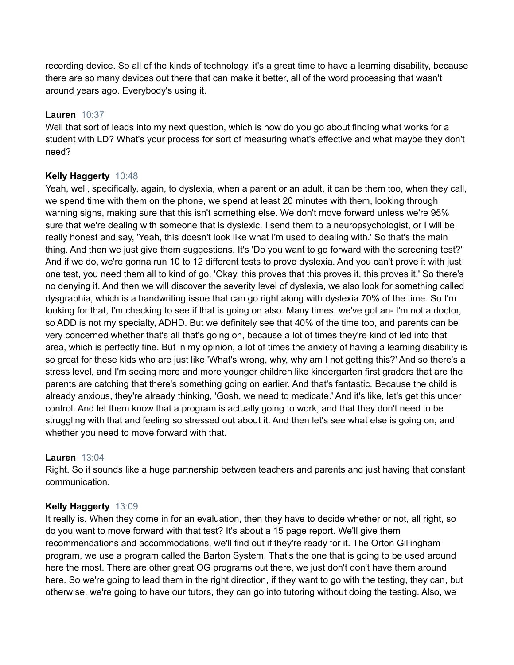recording device. So all of the kinds of technology, it's a great time to have a learning disability, because there are so many devices out there that can make it better, all of the word processing that wasn't around years ago. Everybody's using it.

### **Lauren** 10:37

Well that sort of leads into my next question, which is how do you go about finding what works for a student with LD? What's your process for sort of measuring what's effective and what maybe they don't need?

### **Kelly Haggerty** 10:48

Yeah, well, specifically, again, to dyslexia, when a parent or an adult, it can be them too, when they call, we spend time with them on the phone, we spend at least 20 minutes with them, looking through warning signs, making sure that this isn't something else. We don't move forward unless we're 95% sure that we're dealing with someone that is dyslexic. I send them to a neuropsychologist, or I will be really honest and say, 'Yeah, this doesn't look like what I'm used to dealing with.' So that's the main thing. And then we just give them suggestions. It's 'Do you want to go forward with the screening test?' And if we do, we're gonna run 10 to 12 different tests to prove dyslexia. And you can't prove it with just one test, you need them all to kind of go, 'Okay, this proves that this proves it, this proves it.' So there's no denying it. And then we will discover the severity level of dyslexia, we also look for something called dysgraphia, which is a handwriting issue that can go right along with dyslexia 70% of the time. So I'm looking for that, I'm checking to see if that is going on also. Many times, we've got an- I'm not a doctor, so ADD is not my specialty, ADHD. But we definitely see that 40% of the time too, and parents can be very concerned whether that's all that's going on, because a lot of times they're kind of led into that area, which is perfectly fine. But in my opinion, a lot of times the anxiety of having a learning disability is so great for these kids who are just like 'What's wrong, why, why am I not getting this?' And so there's a stress level, and I'm seeing more and more younger children like kindergarten first graders that are the parents are catching that there's something going on earlier. And that's fantastic. Because the child is already anxious, they're already thinking, 'Gosh, we need to medicate.' And it's like, let's get this under control. And let them know that a program is actually going to work, and that they don't need to be struggling with that and feeling so stressed out about it. And then let's see what else is going on, and whether you need to move forward with that.

### **Lauren** 13:04

Right. So it sounds like a huge partnership between teachers and parents and just having that constant communication.

# **Kelly Haggerty** 13:09

It really is. When they come in for an evaluation, then they have to decide whether or not, all right, so do you want to move forward with that test? It's about a 15 page report. We'll give them recommendations and accommodations, we'll find out if they're ready for it. The Orton Gillingham program, we use a program called the Barton System. That's the one that is going to be used around here the most. There are other great OG programs out there, we just don't don't have them around here. So we're going to lead them in the right direction, if they want to go with the testing, they can, but otherwise, we're going to have our tutors, they can go into tutoring without doing the testing. Also, we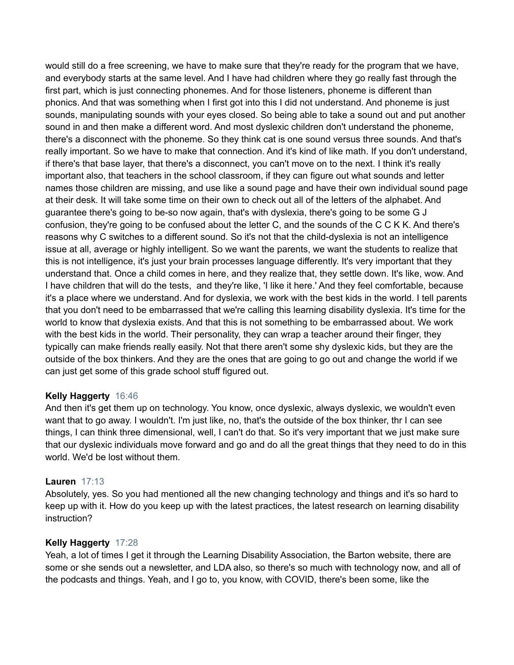would still do a free screening, we have to make sure that they're ready for the program that we have, and everybody starts at the same level. And I have had children where they go really fast through the first part, which is just connecting phonemes. And for those listeners, phoneme is different than phonics. And that was something when I first got into this I did not understand. And phoneme is just sounds, manipulating sounds with your eyes closed. So being able to take a sound out and put another sound in and then make a different word. And most dyslexic children don't understand the phoneme, there's a disconnect with the phoneme. So they think cat is one sound versus three sounds. And that's really important. So we have to make that connection. And it's kind of like math. If you don't understand, if there's that base layer, that there's a disconnect, you can't move on to the next. I think it's really important also, that teachers in the school classroom, if they can figure out what sounds and letter names those children are missing, and use like a sound page and have their own individual sound page at their desk. It will take some time on their own to check out all of the letters of the alphabet. And guarantee there's going to be-so now again, that's with dyslexia, there's going to be some G J confusion, they're going to be confused about the letter C, and the sounds of the C C K K. And there's reasons why C switches to a different sound. So it's not that the child-dyslexia is not an intelligence issue at all, average or highly intelligent. So we want the parents, we want the students to realize that this is not intelligence, it's just your brain processes language differently. It's very important that they understand that. Once a child comes in here, and they realize that, they settle down. It's like, wow. And I have children that will do the tests, and they're like, 'I like it here.' And they feel comfortable, because it's a place where we understand. And for dyslexia, we work with the best kids in the world. I tell parents that you don't need to be embarrassed that we're calling this learning disability dyslexia. It's time for the world to know that dyslexia exists. And that this is not something to be embarrassed about. We work with the best kids in the world. Their personality, they can wrap a teacher around their finger, they typically can make friends really easily. Not that there aren't some shy dyslexic kids, but they are the outside of the box thinkers. And they are the ones that are going to go out and change the world if we can just get some of this grade school stuff figured out.

#### **Kelly Haggerty** 16:46

And then it's get them up on technology. You know, once dyslexic, always dyslexic, we wouldn't even want that to go away. I wouldn't. I'm just like, no, that's the outside of the box thinker, thr I can see things, I can think three dimensional, well, I can't do that. So it's very important that we just make sure that our dyslexic individuals move forward and go and do all the great things that they need to do in this world. We'd be lost without them.

#### **Lauren** 17:13

Absolutely, yes. So you had mentioned all the new changing technology and things and it's so hard to keep up with it. How do you keep up with the latest practices, the latest research on learning disability instruction?

#### **Kelly Haggerty** 17:28

Yeah, a lot of times I get it through the Learning Disability Association, the Barton website, there are some or she sends out a newsletter, and LDA also, so there's so much with technology now, and all of the podcasts and things. Yeah, and I go to, you know, with COVID, there's been some, like the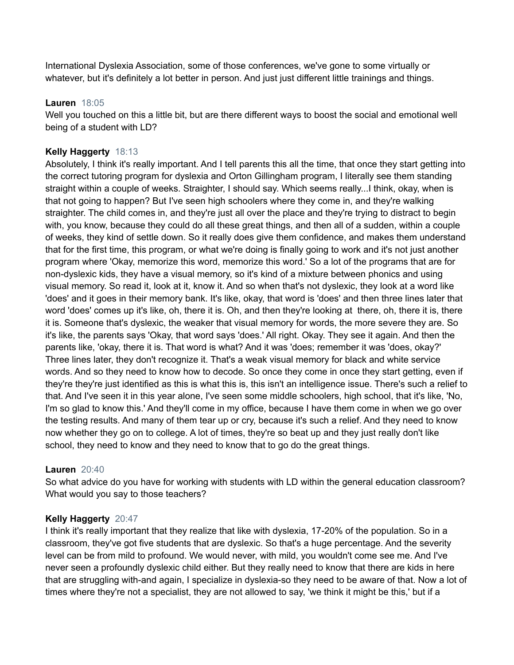International Dyslexia Association, some of those conferences, we've gone to some virtually or whatever, but it's definitely a lot better in person. And just just different little trainings and things.

#### **Lauren** 18:05

Well you touched on this a little bit, but are there different ways to boost the social and emotional well being of a student with LD?

## **Kelly Haggerty** 18:13

Absolutely, I think it's really important. And I tell parents this all the time, that once they start getting into the correct tutoring program for dyslexia and Orton Gillingham program, I literally see them standing straight within a couple of weeks. Straighter, I should say. Which seems really...I think, okay, when is that not going to happen? But I've seen high schoolers where they come in, and they're walking straighter. The child comes in, and they're just all over the place and they're trying to distract to begin with, you know, because they could do all these great things, and then all of a sudden, within a couple of weeks, they kind of settle down. So it really does give them confidence, and makes them understand that for the first time, this program, or what we're doing is finally going to work and it's not just another program where 'Okay, memorize this word, memorize this word.' So a lot of the programs that are for non-dyslexic kids, they have a visual memory, so it's kind of a mixture between phonics and using visual memory. So read it, look at it, know it. And so when that's not dyslexic, they look at a word like 'does' and it goes in their memory bank. It's like, okay, that word is 'does' and then three lines later that word 'does' comes up it's like, oh, there it is. Oh, and then they're looking at there, oh, there it is, there it is. Someone that's dyslexic, the weaker that visual memory for words, the more severe they are. So it's like, the parents says 'Okay, that word says 'does.' All right. Okay. They see it again. And then the parents like, 'okay, there it is. That word is what? And it was 'does; remember it was 'does, okay?' Three lines later, they don't recognize it. That's a weak visual memory for black and white service words. And so they need to know how to decode. So once they come in once they start getting, even if they're they're just identified as this is what this is, this isn't an intelligence issue. There's such a relief to that. And I've seen it in this year alone, I've seen some middle schoolers, high school, that it's like, 'No, I'm so glad to know this.' And they'll come in my office, because I have them come in when we go over the testing results. And many of them tear up or cry, because it's such a relief. And they need to know now whether they go on to college. A lot of times, they're so beat up and they just really don't like school, they need to know and they need to know that to go do the great things.

### **Lauren** 20:40

So what advice do you have for working with students with LD within the general education classroom? What would you say to those teachers?

### **Kelly Haggerty** 20:47

I think it's really important that they realize that like with dyslexia, 17-20% of the population. So in a classroom, they've got five students that are dyslexic. So that's a huge percentage. And the severity level can be from mild to profound. We would never, with mild, you wouldn't come see me. And I've never seen a profoundly dyslexic child either. But they really need to know that there are kids in here that are struggling with-and again, I specialize in dyslexia-so they need to be aware of that. Now a lot of times where they're not a specialist, they are not allowed to say, 'we think it might be this,' but if a